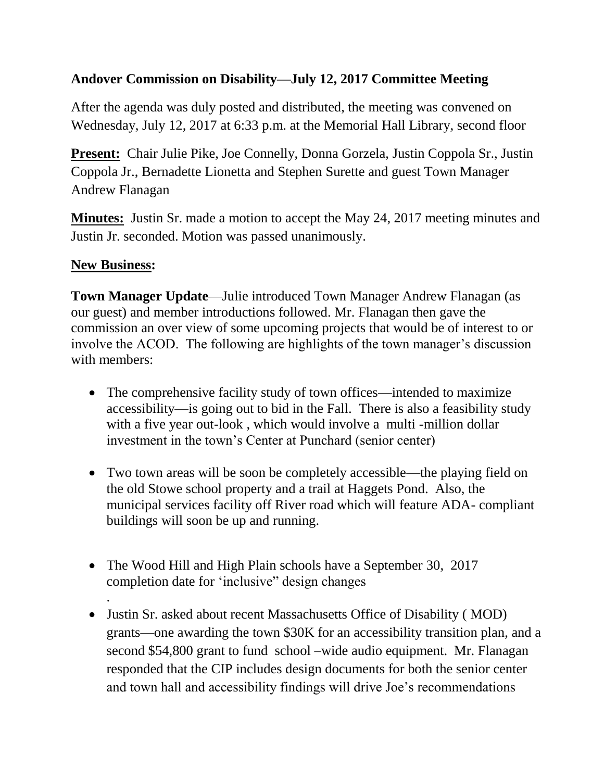## **Andover Commission on Disability—July 12, 2017 Committee Meeting**

After the agenda was duly posted and distributed, the meeting was convened on Wednesday, July 12, 2017 at 6:33 p.m. at the Memorial Hall Library, second floor

**Present:** Chair Julie Pike, Joe Connelly, Donna Gorzela, Justin Coppola Sr., Justin Coppola Jr., Bernadette Lionetta and Stephen Surette and guest Town Manager Andrew Flanagan

**Minutes:** Justin Sr. made a motion to accept the May 24, 2017 meeting minutes and Justin Jr. seconded. Motion was passed unanimously.

## **New Business:**

.

**Town Manager Update**—Julie introduced Town Manager Andrew Flanagan (as our guest) and member introductions followed. Mr. Flanagan then gave the commission an over view of some upcoming projects that would be of interest to or involve the ACOD. The following are highlights of the town manager's discussion with members:

- The comprehensive facility study of town offices—intended to maximize accessibility—is going out to bid in the Fall. There is also a feasibility study with a five year out-look , which would involve a multi -million dollar investment in the town's Center at Punchard (senior center)
- Two town areas will be soon be completely accessible—the playing field on the old Stowe school property and a trail at Haggets Pond. Also, the municipal services facility off River road which will feature ADA- compliant buildings will soon be up and running.
- The Wood Hill and High Plain schools have a September 30, 2017 completion date for 'inclusive" design changes
- Justin Sr. asked about recent Massachusetts Office of Disability ( MOD) grants—one awarding the town \$30K for an accessibility transition plan, and a second \$54,800 grant to fund school –wide audio equipment. Mr. Flanagan responded that the CIP includes design documents for both the senior center and town hall and accessibility findings will drive Joe's recommendations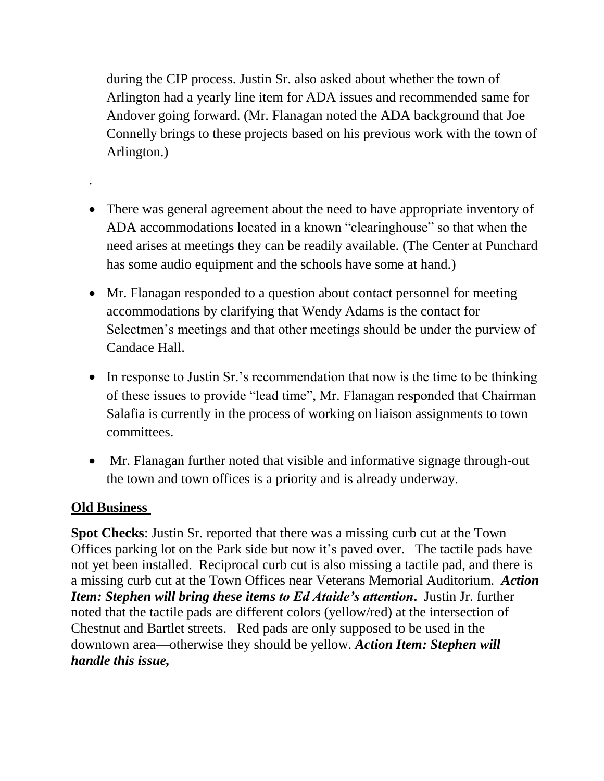during the CIP process. Justin Sr. also asked about whether the town of Arlington had a yearly line item for ADA issues and recommended same for Andover going forward. (Mr. Flanagan noted the ADA background that Joe Connelly brings to these projects based on his previous work with the town of Arlington.)

- There was general agreement about the need to have appropriate inventory of ADA accommodations located in a known "clearinghouse" so that when the need arises at meetings they can be readily available. (The Center at Punchard has some audio equipment and the schools have some at hand.)
- Mr. Flanagan responded to a question about contact personnel for meeting accommodations by clarifying that Wendy Adams is the contact for Selectmen's meetings and that other meetings should be under the purview of Candace Hall.
- In response to Justin Sr.'s recommendation that now is the time to be thinking of these issues to provide "lead time", Mr. Flanagan responded that Chairman Salafia is currently in the process of working on liaison assignments to town committees.
- Mr. Flanagan further noted that visible and informative signage through-out the town and town offices is a priority and is already underway.

## **Old Business**

.

**Spot Checks**: Justin Sr. reported that there was a missing curb cut at the Town Offices parking lot on the Park side but now it's paved over. The tactile pads have not yet been installed. Reciprocal curb cut is also missing a tactile pad, and there is a missing curb cut at the Town Offices near Veterans Memorial Auditorium. *Action Item: Stephen will bring these items to Ed Ataide's attention***.** Justin Jr. further noted that the tactile pads are different colors (yellow/red) at the intersection of Chestnut and Bartlet streets. Red pads are only supposed to be used in the downtown area—otherwise they should be yellow. *Action Item: Stephen will handle this issue,*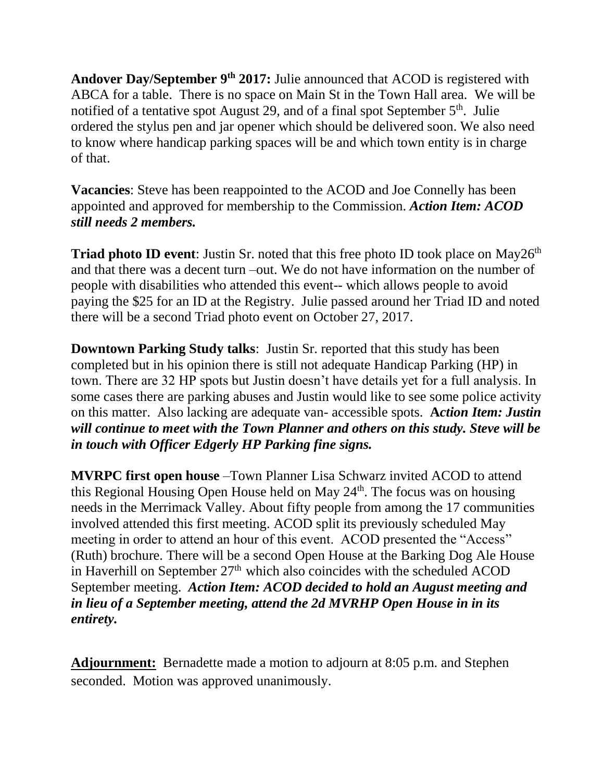**Andover Day/September 9th 2017:** Julie announced that ACOD is registered with ABCA for a table. There is no space on Main St in the Town Hall area. We will be notified of a tentative spot August 29, and of a final spot September  $5<sup>th</sup>$ . Julie ordered the stylus pen and jar opener which should be delivered soon. We also need to know where handicap parking spaces will be and which town entity is in charge of that.

**Vacancies**: Steve has been reappointed to the ACOD and Joe Connelly has been appointed and approved for membership to the Commission. *Action Item: ACOD still needs 2 members.*

**Triad photo ID event:** Justin Sr. noted that this free photo ID took place on May26<sup>th</sup> and that there was a decent turn –out. We do not have information on the number of people with disabilities who attended this event-- which allows people to avoid paying the \$25 for an ID at the Registry. Julie passed around her Triad ID and noted there will be a second Triad photo event on October 27, 2017.

**Downtown Parking Study talks**: Justin Sr. reported that this study has been completed but in his opinion there is still not adequate Handicap Parking (HP) in town. There are 32 HP spots but Justin doesn't have details yet for a full analysis. In some cases there are parking abuses and Justin would like to see some police activity on this matter. Also lacking are adequate van- accessible spots. **A***ction Item: Justin will continue to meet with the Town Planner and others on this study. Steve will be in touch with Officer Edgerly HP Parking fine signs.*

**MVRPC first open house** –Town Planner Lisa Schwarz invited ACOD to attend this Regional Housing Open House held on May 24<sup>th</sup>. The focus was on housing needs in the Merrimack Valley. About fifty people from among the 17 communities involved attended this first meeting. ACOD split its previously scheduled May meeting in order to attend an hour of this event. ACOD presented the "Access" (Ruth) brochure. There will be a second Open House at the Barking Dog Ale House in Haverhill on September  $27<sup>th</sup>$  which also coincides with the scheduled ACOD September meeting. *Action Item: ACOD decided to hold an August meeting and in lieu of a September meeting, attend the 2d MVRHP Open House in in its entirety.*

**Adjournment:** Bernadette made a motion to adjourn at 8:05 p.m. and Stephen seconded. Motion was approved unanimously.